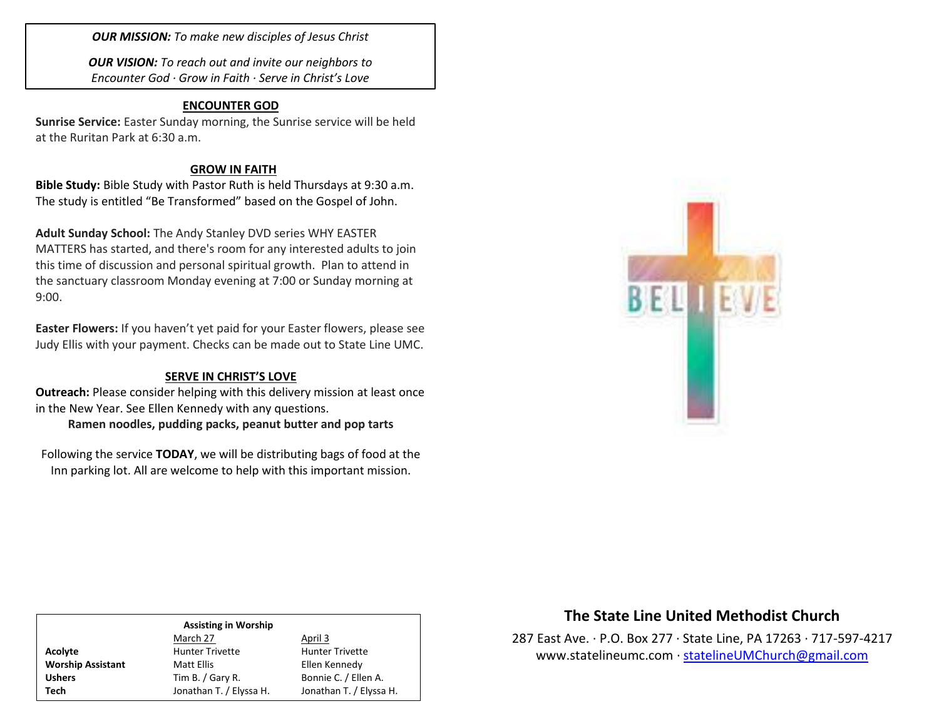*OUR MISSION: To make new disciples of Jesus Christ*

*OUR VISION: To reach out and invite our neighbors to Encounter God · Grow in Faith · Serve in Christ's Love*

#### **ENCOUNTER GOD**

**Sunrise Service:** Easter Sunday morning, the Sunrise service will be held at the Ruritan Park at 6:30 a.m.

## **GROW IN FAITH**

**Bible Study:** Bible Study with Pastor Ruth is held Thursdays at 9:30 a.m. The study is entitled "Be Transformed" based on the Gospel of John.

**Adult Sunday School:** The Andy Stanley DVD series WHY EASTER MATTERS has started, and there's room for any interested adults to join this time of discussion and personal spiritual growth. Plan to attend in the sanctuary classroom Monday evening at 7:00 or Sunday morning at 9:00.

**Easter Flowers:** If you haven't yet paid for your Easter flowers, please see Judy Ellis with your payment. Checks can be made out to State Line UMC.

## **SERVE IN CHRIST'S LOVE**

**Outreach:** Please consider helping with this delivery mission at least once in the New Year. See Ellen Kennedy with any questions. **Ramen noodles, pudding packs, peanut butter and pop tarts**

Following the service **TODAY**, we will be distributing bags of food at the Inn parking lot. All are welcome to help with this important mission.



| <b>Assisting in Worship</b> |                         |
|-----------------------------|-------------------------|
| March 27                    | April 3                 |
| <b>Hunter Trivette</b>      | <b>Hunter Trivette</b>  |
| Matt Ellis                  | Ellen Kennedy           |
| Tim B. / Gary R.            | Bonnie C. / Ellen A.    |
| Jonathan T. / Elyssa H.     | Jonathan T. / Elyssa H. |
|                             |                         |

# **The State Line United Methodist Church**

287 East Ave. · P.O. Box 277 · State Line, PA 17263 · 717-597-4217 [www.statelineumc.com](http://www.statelineumc.com/) · [statelineUMChurch@gmail.com](mailto:statelineUMChurch@gmail.com)